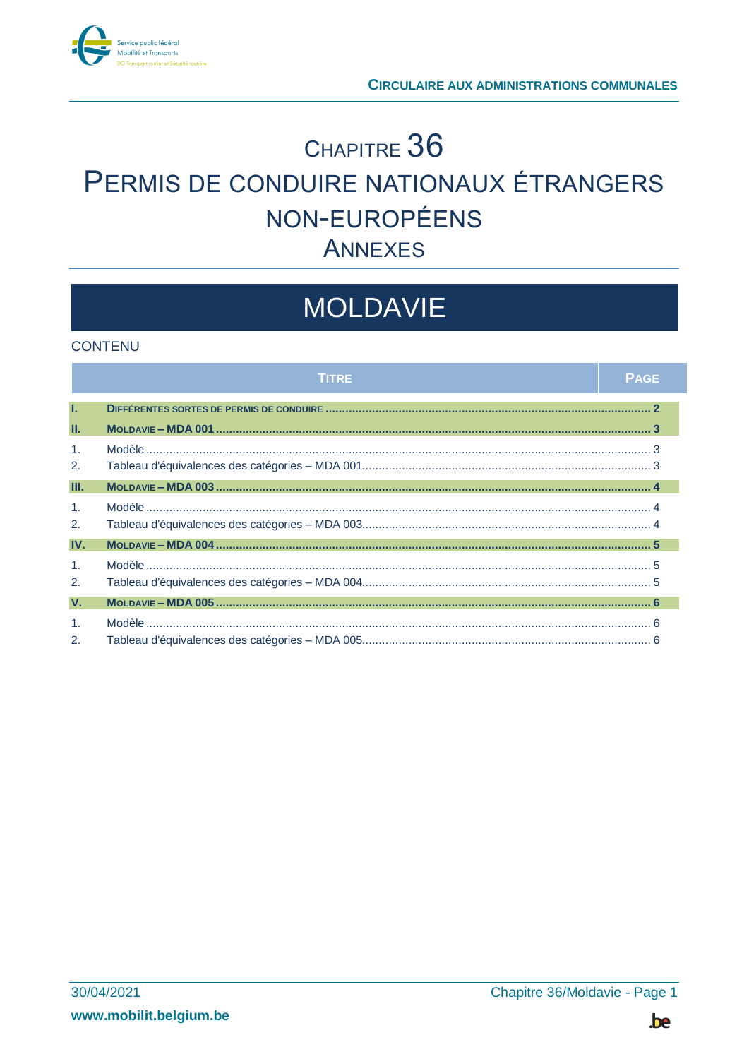

# CHAPITRE 36 PERMIS DE CONDUIRE NATIONAUX ÉTRANGERS NON-EUROPÉENS **ANNEXES**

# **MOLDAVIE**

### **CONTENU**

|                      | <b>TITRE</b> | <b>PAGE</b> |
|----------------------|--------------|-------------|
| T.                   |              |             |
| Ш.                   |              |             |
| $\mathbf{1}$ .<br>2. |              |             |
| III.                 |              |             |
| $\mathbf{1}$ .<br>2. |              |             |
| IV.                  |              |             |
| $\mathbf{1}$ .<br>2. |              |             |
| $V_{\cdot}$          |              |             |
| $\mathbf{1}$ .<br>2. |              |             |

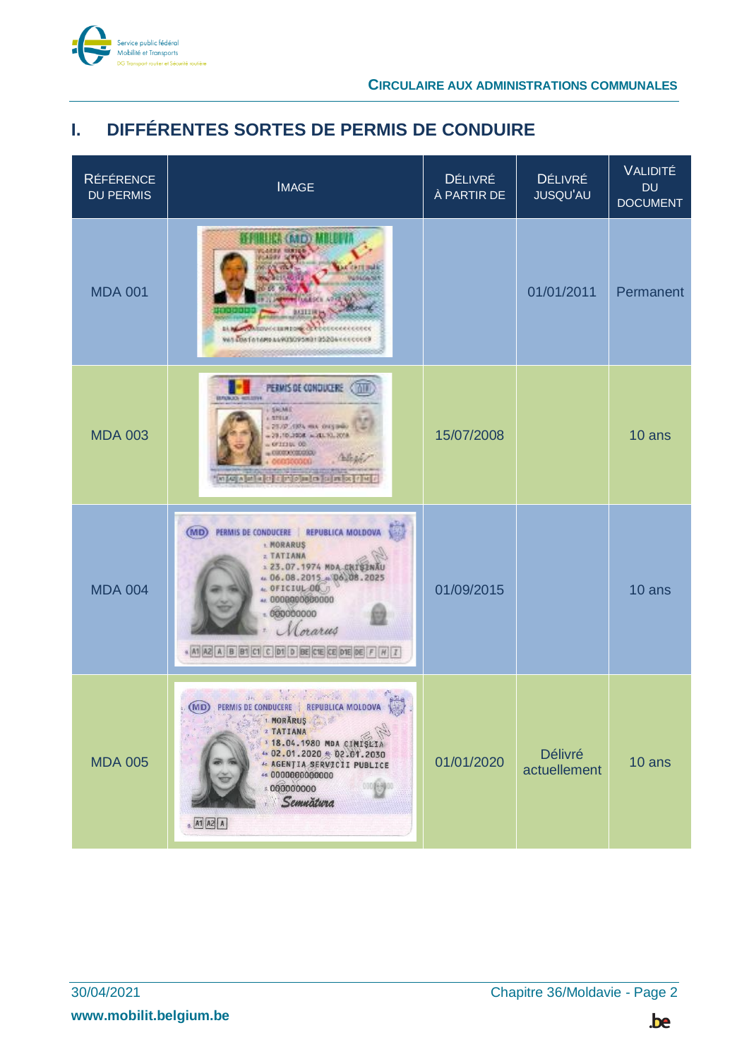

## <span id="page-1-0"></span>**I. DIFFÉRENTES SORTES DE PERMIS DE CONDUIRE**

| <b>RÉFÉRENCE</b><br><b>DU PERMIS</b> | <b>IMAGE</b>                                                                                                                                                                                                                                                             | DÉLIVRÉ<br>À PARTIR DE | <b>DÉLIVRÉ</b><br><b>JUSQU'AU</b> | VALIDITÉ<br><b>DU</b><br><b>DOCUMENT</b> |
|--------------------------------------|--------------------------------------------------------------------------------------------------------------------------------------------------------------------------------------------------------------------------------------------------------------------------|------------------------|-----------------------------------|------------------------------------------|
| <b>MDA 001</b>                       | <b>BLICA (BAID) MBLDF</b><br><b>MITTIN</b><br>BANGAROWALISHTON OCCOUNDED CONTRA<br>WAS CONFIDENTIALLY CONSIDERED TO SOLD A REPORT OF CONTINUES.                                                                                                                          |                        | 01/01/2011                        | Permanent                                |
| <b>MDA 003</b>                       | PERMIS DE CONDUCERE<br><b>EUROPAIN AND HERE SERVICE</b><br><b>SAME</b><br>157918<br>25.02.4104 mA 04151660<br>29.10.2008 = 20.10.2018<br>OFICING OD<br>cucerocomula)<br>what a later of the blanks in later of the                                                       | 15/07/2008             |                                   | 10 ans                                   |
| <b>MDA 004</b>                       | REPUBLICA MOLDOVA<br>(MD)<br>PERMIS DE CONDUCERE<br><b>I. MORARUS</b><br>z TATIANA<br>123.07.1974 MDA CHISENAU<br>$= 06.08.2015 + 06.08.2025$<br>4. OFICIUL 00<br>++ 000000000000<br>000000000<br>orarus<br>* M A2 A B B1 C1 C D1 D BE C1E CE D1E DE F H I               | 01/09/2015             |                                   | 10 ans                                   |
| <b>MDA 005</b>                       | the an estate and provided<br>(MD) PERMIS DE CONDUCERE   REPUBLICA MOLDOVA<br>1 MORĂRUS<br>2. TATIANA<br>3 18.04.1980 MDA CIMISLIA<br>4a 02.01.2020 4b 02.01.2030<br><b>4: AGENȚIA SERVICII PUBLICE</b><br>4d.0000000000000<br>8.000000000<br>Semnätura<br>$A1$ $A2$ $A$ | 01/01/2020             | Délivré<br>actuellement           | 10 ans                                   |

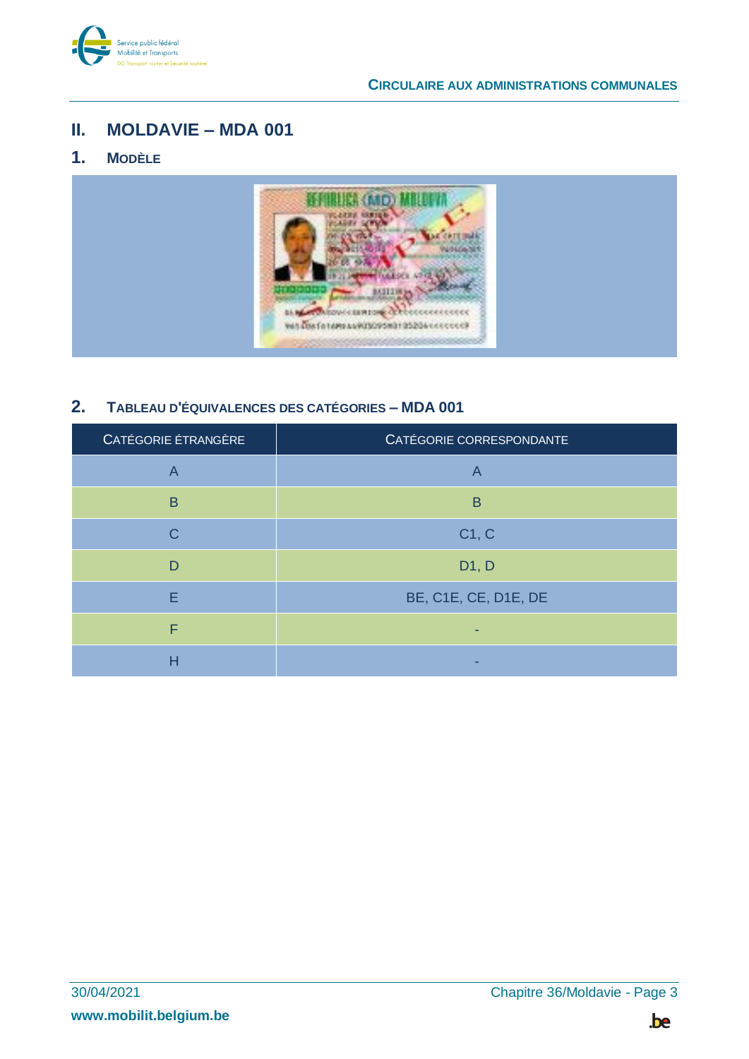

## <span id="page-2-0"></span>**II. MOLDAVIE – MDA 001**

## <span id="page-2-1"></span>**1. MODÈLE**



## <span id="page-2-2"></span>**2. TABLEAU D'ÉQUIVALENCES DES CATÉGORIES – MDA 001**

| CATÉGORIE ÉTRANGÈRE | CATÉGORIE CORRESPONDANTE |
|---------------------|--------------------------|
| $\overline{A}$      | A                        |
| B                   | B                        |
| C                   | C1, C                    |
| D                   | D1, D                    |
| E                   | BE, C1E, CE, D1E, DE     |
| F                   |                          |
| Н                   |                          |

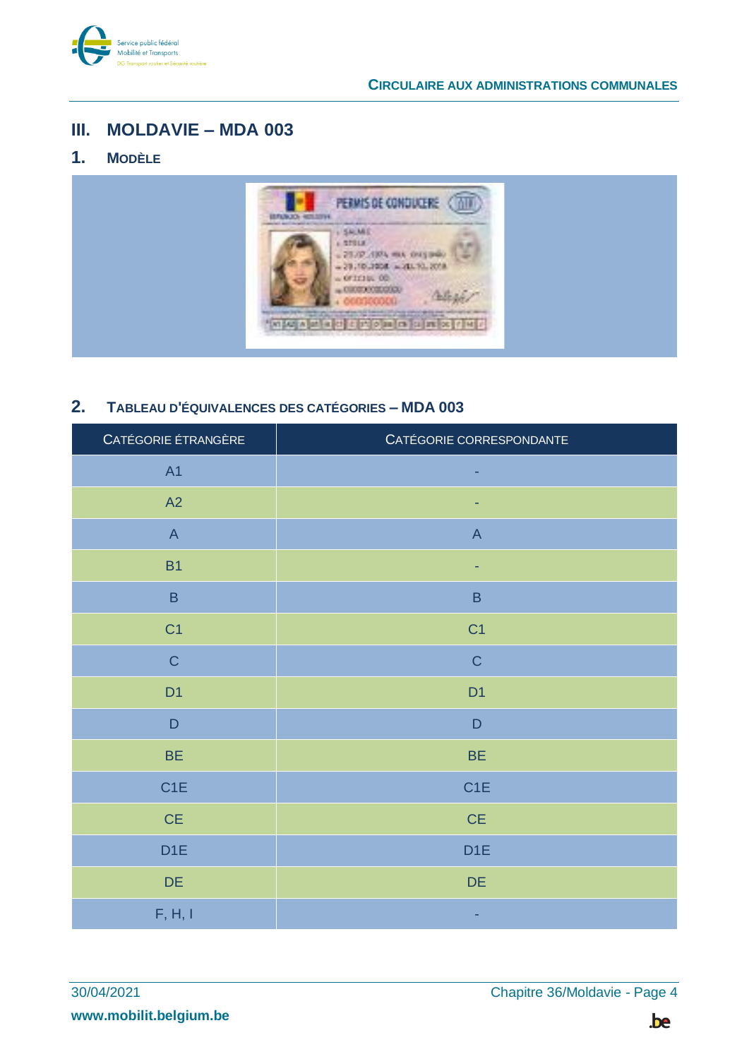

## <span id="page-3-0"></span>III. MOLDAVIE - MDA 003

#### <span id="page-3-1"></span> $1<sub>1</sub>$ **MODÈLE**



#### <span id="page-3-2"></span> $2.$ TABLEAU D'ÉQUIVALENCES DES CATÉGORIES - MDA 003

| CATÉGORIE ÉTRANGÈRE       | CATÉGORIE CORRESPONDANTE |
|---------------------------|--------------------------|
| A1                        | ٠                        |
| A2                        |                          |
| $\boldsymbol{\mathsf{A}}$ | $\mathsf{A}$             |
| <b>B1</b>                 | ٠                        |
| $\, {\bf B} \,$           | $\sf B$                  |
| C <sub>1</sub>            | C <sub>1</sub>           |
| $\mathsf C$               | $\mathsf C$              |
| D <sub>1</sub>            | D <sub>1</sub>           |
| $\mathsf D$               | $\mathsf D$              |
| <b>BE</b>                 | <b>BE</b>                |
| C <sub>1</sub> E          | C <sub>1</sub> E         |
| $CE$                      | $\mathsf{CE}$            |
| D <sub>1</sub> E          | D <sub>1</sub> E         |
| DE                        | $DE$                     |
| F, H, I                   |                          |

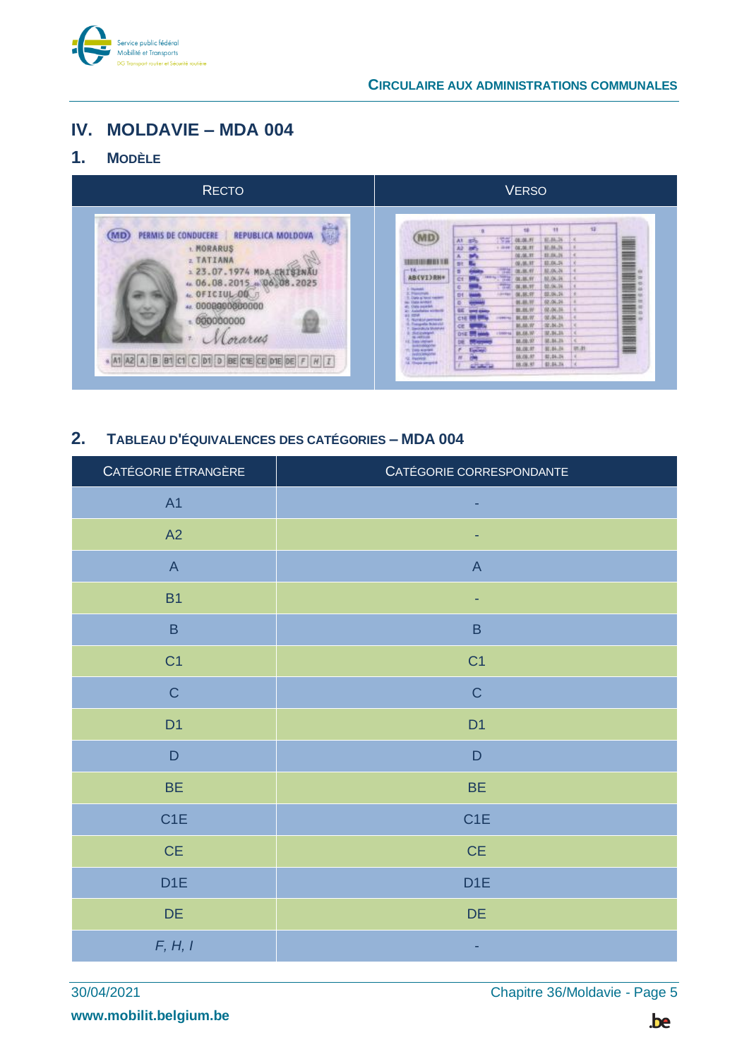

## <span id="page-4-0"></span>IV. MOLDAVIE - MDA 004

#### <span id="page-4-1"></span> $1<sub>1</sub>$ **MODÈLE**

| <b>RECTO</b>                                                                                                                                                                                                                                                  | <b>VERSO</b>                                                                                                                                                                                                                                                                                                                                                                                                                                                                                                                                                                                                                                                                                                                                                                                                                                                                                                                                                                                                                                                                    |
|---------------------------------------------------------------------------------------------------------------------------------------------------------------------------------------------------------------------------------------------------------------|---------------------------------------------------------------------------------------------------------------------------------------------------------------------------------------------------------------------------------------------------------------------------------------------------------------------------------------------------------------------------------------------------------------------------------------------------------------------------------------------------------------------------------------------------------------------------------------------------------------------------------------------------------------------------------------------------------------------------------------------------------------------------------------------------------------------------------------------------------------------------------------------------------------------------------------------------------------------------------------------------------------------------------------------------------------------------------|
| 鷤<br>PERMIS DE CONDUCERE<br><b>REPUBLICA MOLDOVA</b><br><b>I. MORARUS</b><br>z TATIANA<br>123.07.1974 MDA CHISENAL<br>$4.06.08.2015 + 06.08.2025$<br>4c OFICIUL OO J<br>44.0008800660000<br>000000000<br>orarus<br>A2 A B B1 C1 C D1 D BE C1E CE D1E DE F H I | 12<br>$\mathbf{H}$<br>10<br>__<br>$15 - 10$<br>08.08.99<br><b>R.B.D.</b><br>At<br>▌<br>M.M.N.<br>$+300$<br>08,08.99<br>11.1K.19<br>08:08.91<br>1111111111<br>09.08.31<br>81.04.24<br>85.06.24<br>쨒<br>06.08.91<br>00.08.99<br><b>The Second</b><br>AB(VI)RH<br>14.10.00<br><b>LAST TO-</b><br><b>CY</b><br>ö<br><b>Print</b><br>02.06.24<br>04.85.97<br>×<br>ш<br>1-Norwald<br>02.04.24<br>C Planchet<br>(0, 10, 9)<br>$1$<br>≡<br>1. Data of four numerical<br>02.06.24<br>01.05.31<br>÷<br>B<br><u>Mana</u><br>45 ORN parals.<br>38.34<br>BL.BL/F<br>86<br>×<br>41.024<br>02/04.34<br>BL88.97<br>CHE<br>200102<br>6. Nondor premium<br><b>Tungele Warris</b><br>02.04.24<br><b>M.M.W</b><br>CE.<br><b>Swindight State At</b><br>88.68.W<br>IR.14.15<br><b>J. Siccompot</b><br><b>Drill</b><br><b>NUMBER</b><br>88.00.97<br>05.04.36<br><b>IE</b> Sas Uplat<br><b>HARABASE</b><br>in.h<br>41.84.34<br><b>ML08.07</b><br>لتنافذ<br><b>TL Data Highlight</b><br>watch bengovis<br>81.04.14<br>06.08.07<br>12. Europea<br>LE Chapa peopolis<br>\$1.54.3k<br>18.06.37<br>والتقاولة |

#### <span id="page-4-2"></span> $2.$ TABLEAU D'ÉQUIVALENCES DES CATÉGORIES - MDA 004

| CATÉGORIE ÉTRANGÈRE       | CATÉGORIE CORRESPONDANTE  |
|---------------------------|---------------------------|
| A <sub>1</sub>            | ٠                         |
| A2                        |                           |
| $\boldsymbol{\mathsf{A}}$ | $\boldsymbol{\mathsf{A}}$ |
| B <sub>1</sub>            | ٠                         |
| $\sf B$                   | $\sf B$                   |
| C <sub>1</sub>            | C <sub>1</sub>            |
| $\mathsf C$               | $\mathsf C$               |
| D <sub>1</sub>            | D <sub>1</sub>            |
| $\mathsf D$               | $\mathsf D$               |
| <b>BE</b>                 | <b>BE</b>                 |
| C1E                       | C <sub>1</sub> E          |
| $CE$                      | $\mathsf{CE}$             |
| D <sub>1</sub> E          | D <sub>1E</sub>           |
| DE                        | DE                        |
| F, H, I                   | ٠                         |

Chapitre 36/Moldavie - Page 5

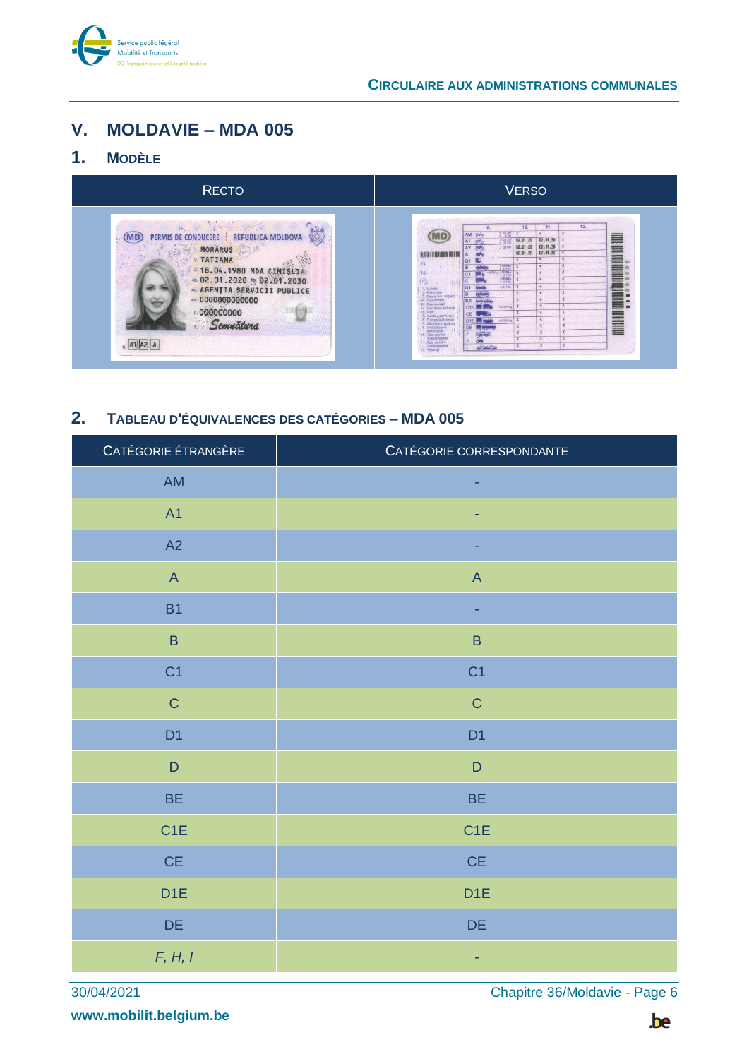

## <span id="page-5-0"></span>**V. MOLDAVIE – MDA 005**

## <span id="page-5-1"></span>**1. MODÈLE**

| <b>RECTO</b>                                                                                                                                                                                                                                           | <b>VERSO</b>                                                                                                                                                                                                                                                                                                                                                                                                                                                                                                                                                                                                                                                                                                                                  |
|--------------------------------------------------------------------------------------------------------------------------------------------------------------------------------------------------------------------------------------------------------|-----------------------------------------------------------------------------------------------------------------------------------------------------------------------------------------------------------------------------------------------------------------------------------------------------------------------------------------------------------------------------------------------------------------------------------------------------------------------------------------------------------------------------------------------------------------------------------------------------------------------------------------------------------------------------------------------------------------------------------------------|
| the art call to contribute<br>PERMIS DE CONDUCERE<br><b>REPUBLICA MOLDOVA</b><br>MORĂRUS<br>2 TATIANA<br>3 18.04.1980 MDA CIMISLIA<br>4a 02.01.2020 4b 02.01.2030<br><b>40 AGENȚIA SERVICII PUBLICE</b><br>4d. 0000000000000<br>000000000<br>Semnätura | 12.<br>10.<br>$\frac{1}{4}$ $\frac{50}{4}$ km<br>AM avo<br>A1 $\overline{z}$<br>$+0.05$ em<br>02.01.30<br>02.01.20<br>02.01.30<br>02.01.20<br>$5-38$ MW<br>02.01.20<br>02.01.50<br>13.<br>$-16364 +$<br>-5800 kg = 7658 kg<br>14.<br>C1<br>技<br>1. Nonia<br>2. Presumen<br>$-155310$<br>镇<br>≡<br>S (testu)<br>$\mathcal{L}$<br>3 Cities in local negative<br>As: Dusa'omiters<br><b>BE</b><br><b>Corta expirest</b><br><b>SYZDED NO</b><br>C1E<br>dr. Autoritatea arribaro<br>Ad YAP<br><b>THE REAL</b><br>5. Numbed permissiel<br>5. Fotografia Mulanuta<br>7. Secondum Mulanuta<br>12000 kg<br>$t = \frac{1}{100}$<br>DE 5<br><b>Low James</b><br>10 Data obtiver<br>(oub)categorie<br>11. Dete supplyit<br>(rob)categori<br>12. Reentrijk |

## <span id="page-5-2"></span>**2. TABLEAU D'ÉQUIVALENCES DES CATÉGORIES – MDA 005**

| CATÉGORIE ÉTRANGÈRE                                                   | CATÉGORIE CORRESPONDANTE                                              |
|-----------------------------------------------------------------------|-----------------------------------------------------------------------|
| $\mathsf{AM}$                                                         | ٠                                                                     |
| A1                                                                    | ٠                                                                     |
| A2                                                                    |                                                                       |
| $\mathsf{A}% _{\mathsf{A}}^{\prime}=\mathsf{A}_{\mathsf{A}}^{\prime}$ | $\mathsf{A}% _{\mathsf{A}}^{\prime}=\mathsf{A}_{\mathsf{A}}^{\prime}$ |
| <b>B1</b>                                                             |                                                                       |
| $\sf B$                                                               | $\sf B$                                                               |
| C <sub>1</sub>                                                        | C <sub>1</sub>                                                        |
| $\mathsf C$                                                           | $\mathsf C$                                                           |
| D <sub>1</sub>                                                        | D <sub>1</sub>                                                        |
| $\mathsf D$                                                           | $\mathsf D$                                                           |
| <b>BE</b>                                                             | <b>BE</b>                                                             |
| C <sub>1</sub> E                                                      | C <sub>1</sub> E                                                      |
| CE                                                                    | CE                                                                    |
| D <sub>1</sub> E                                                      | D <sub>1</sub> E                                                      |
| DE                                                                    | DE                                                                    |
| F, H, I                                                               | ۰                                                                     |

**www.mobilit.belgium.be**

30/04/2021 Chapitre 36/Moldavie - Page 6